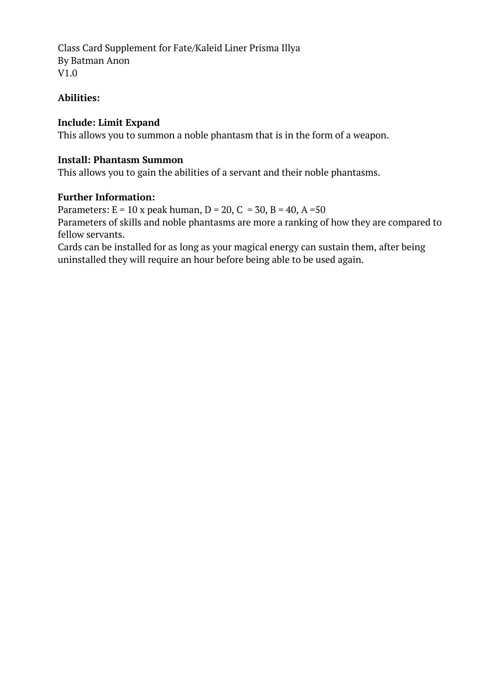Class Card Supplement for Fate/Kaleid Liner Prisma Illya By Batman Anon V1.0

# **Abilities:**

# **Include: Limit Expand**

This allows you to summon a noble phantasm that is in the form of a weapon.

# **Install: Phantasm Summon**

This allows you to gain the abilities of a servant and their noble phantasms.

# **Further Information:**

Parameters:  $E = 10x$  peak human,  $D = 20$ ,  $C = 30$ ,  $B = 40$ ,  $A = 50$ Parameters of skills and noble phantasms are more a ranking of how they are compared to fellow servants.

Cards can be installed for as long as your magical energy can sustain them, after being uninstalled they will require an hour before being able to be used again.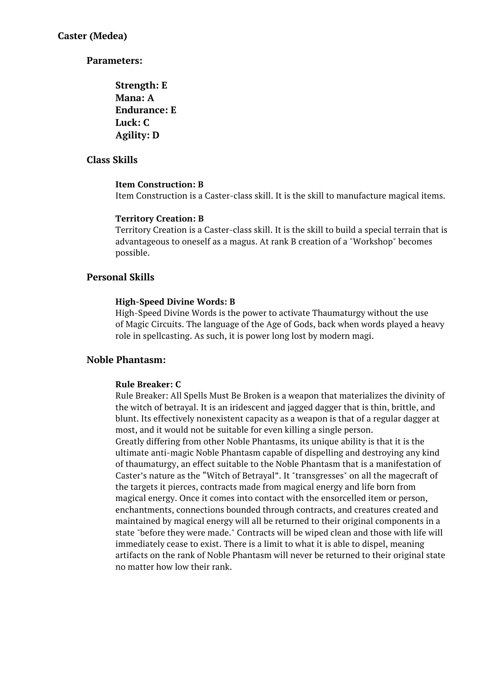**Strength: E Mana: A Endurance: E Luck: C Agility: D**

## **Class Skills**

### **Item Construction: B**

Item Construction is a Caster-class skill. It is the skill to manufacture magical items.

#### **Territory Creation: B**

Territory Creation is a Caster-class skill. It is the skill to build a special terrain that is advantageous to oneself as a magus. At rank B creation of a "Workshop" becomes possible.

### **Personal Skills**

#### **High-Speed Divine Words: B**

High-Speed Divine Words is the power to activate Thaumaturgy without the use of Magic Circuits. The language of the Age of Gods, back when words played a heavy role in spellcasting. As such, it is power long lost by modern magi.

### **Noble Phantasm:**

### **Rule Breaker: C**

Rule Breaker: All Spells Must Be Broken is a weapon that materializes the divinity of the witch of betrayal. It is an iridescent and jagged dagger that is thin, brittle, and blunt. Its effectively nonexistent capacity as a weapon is that of a regular dagger at most, and it would not be suitable for even killing a single person. Greatly differing from other Noble Phantasms, its unique ability is that it is the

ultimate anti-magic Noble Phantasm capable of dispelling and destroying any kind of thaumaturgy, an effect suitable to the Noble Phantasm that is a manifestation of Caster's nature as the "Witch of Betrayal". It "transgresses" on all the magecraft of the targets it pierces, contracts made from magical energy and life born from magical energy. Once it comes into contact with the ensorcelled item or person, enchantments, connections bounded through contracts, and creatures created and maintained by magical energy will all be returned to their original components in a state "before they were made." Contracts will be wiped clean and those with life will immediately cease to exist. There is a limit to what it is able to dispel, meaning artifacts on the rank of Noble Phantasm will never be returned to their original state no matter how low their rank.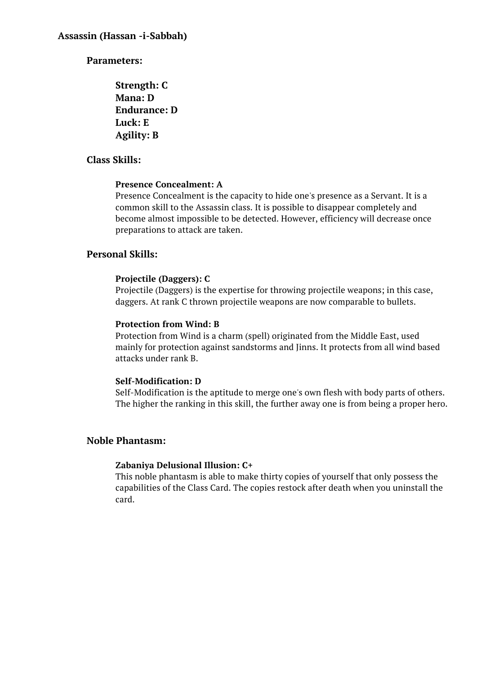**Strength: C Mana: D Endurance: D Luck: E Agility: B**

# **Class Skills:**

# **Presence Concealment: A**

Presence Concealment is the capacity to hide one's presence as a Servant. It is a common skill to the Assassin class. It is possible to disappear completely and become almost impossible to be detected. However, efficiency will decrease once preparations to attack are taken.

# **Personal Skills:**

# **Projectile (Daggers): C**

Projectile (Daggers) is the expertise for throwing projectile weapons; in this case, daggers. At rank C thrown projectile weapons are now comparable to bullets.

### **Protection from Wind: B**

Protection from Wind is a charm (spell) originated from the Middle East, used mainly for protection against sandstorms and Jinns. It protects from all wind based attacks under rank B.

# **Self-Modification: D**

Self-Modification is the aptitude to merge one's own flesh with body parts of others. The higher the ranking in this skill, the further away one is from being a proper hero.

# **Noble Phantasm:**

# **Zabaniya Delusional Illusion: C+**

This noble phantasm is able to make thirty copies of yourself that only possess the capabilities of the Class Card. The copies restock after death when you uninstall the card.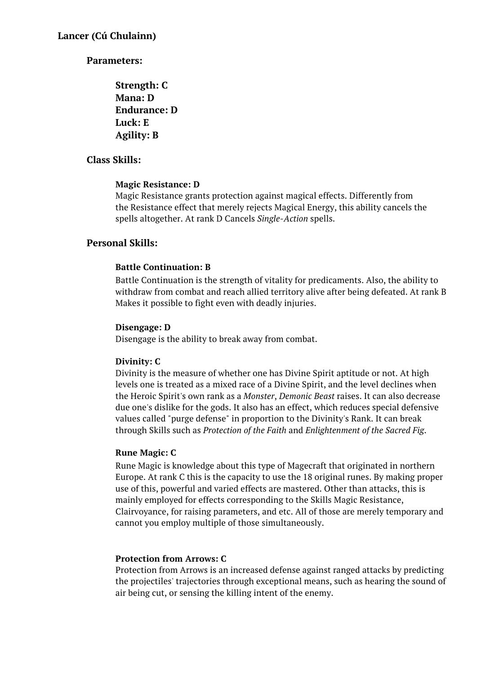```
Strength: C
Mana: D
Endurance: D
Luck: E
Agility: B
```
# **Class Skills:**

# **Magic Resistance: D**

Magic Resistance grants protection against magical effects. Differently from the Resistance effect that merely rejects Magical Energy, this ability cancels the spells altogether. At rank D Cancels *Single-Action* spells.

# **Personal Skills:**

### **Battle Continuation: B**

Battle Continuation is the strength of vitality for predicaments. Also, the ability to withdraw from combat and reach allied territory alive after being defeated. At rank B Makes it possible to fight even with deadly injuries.

### **Disengage: D**

Disengage is the ability to break away from combat.

# **Divinity: C**

Divinity is the measure of whether one has Divine Spirit aptitude or not. At high levels one is treated as a mixed race of a Divine Spirit, and the level declines when the Heroic Spirit's own rank as a *Monster*, *Demonic Beast* raises. It can also decrease due one's dislike for the gods. It also has an effect, which reduces special defensive values called "purge defense" in proportion to the Divinity's Rank. It can break through Skills such as *Protection of the Faith* and *Enlightenment of the Sacred Fig*.

### **Rune Magic: C**

Rune Magic is knowledge about this type of Magecraft that originated in northern Europe. At rank C this is the capacity to use the 18 original runes. By making proper use of this, powerful and varied effects are mastered. Other than attacks, this is mainly employed for effects corresponding to the Skills Magic Resistance, Clairvoyance, for raising parameters, and etc. All of those are merely temporary and cannot you employ multiple of those simultaneously.

# **Protection from Arrows: C**

Protection from Arrows is an increased defense against ranged attacks by predicting the projectiles' trajectories through exceptional means, such as hearing the sound of air being cut, or sensing the killing intent of the enemy.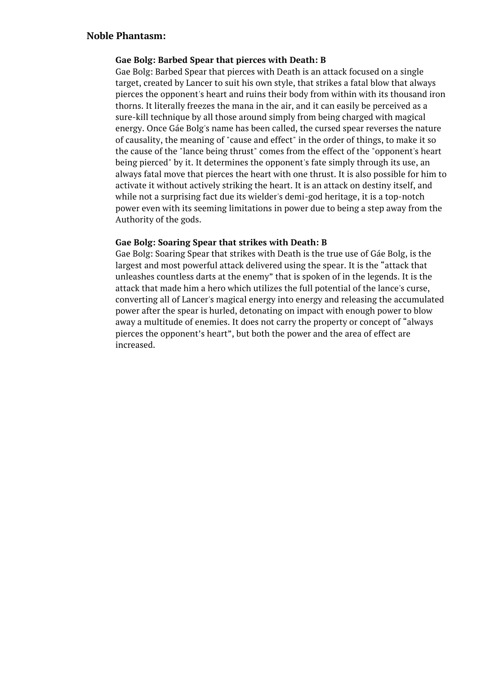### **Gae Bolg: Barbed Spear that pierces with Death: B**

Gae Bolg: Barbed Spear that pierces with Death is an attack focused on a single target, created by Lancer to suit his own style, that strikes a fatal blow that always pierces the opponent's heart and ruins their body from within with its thousand iron thorns. It literally freezes the mana in the air, and it can easily be perceived as a sure-kill technique by all those around simply from being charged with magical energy. Once Gáe Bolg's name has been called, the cursed spear reverses the nature of causality, the meaning of "cause and effect" in the order of things, to make it so the cause of the "lance being thrust" comes from the effect of the "opponent's heart being pierced" by it. It determines the opponent's fate simply through its use, an always fatal move that pierces the heart with one thrust. It is also possible for him to activate it without actively striking the heart. It is an attack on destiny itself, and while not a surprising fact due its wielder's demi-god heritage, it is a top-notch power even with its seeming limitations in power due to being a step away from the Authority of the gods.

### **Gae Bolg: Soaring Spear that strikes with Death: B**

Gae Bolg: Soaring Spear that strikes with Death is the true use of Gáe Bolg, is the largest and most powerful attack delivered using the spear. It is the "attack that unleashes countless darts at the enemy" that is spoken of in the legends. It is the attack that made him a hero which utilizes the full potential of the lance's curse, converting all of Lancer's magical energy into energy and releasing the accumulated power after the spear is hurled, detonating on impact with enough power to blow away a multitude of enemies. It does not carry the property or concept of "always pierces the opponent's heart", but both the power and the area of effect are increased.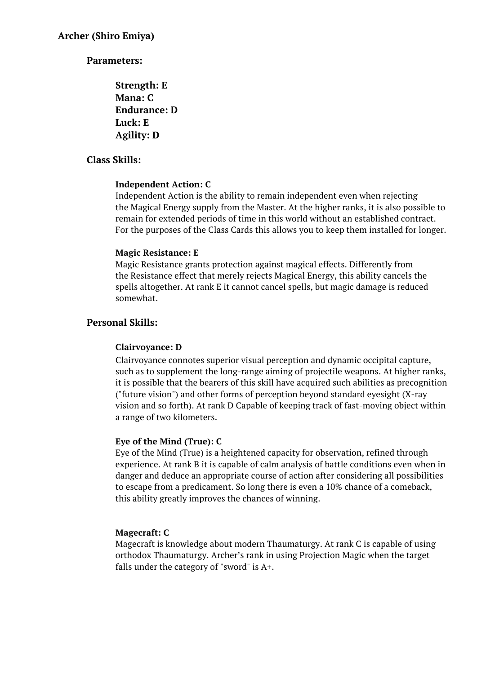**Strength: E Mana: C Endurance: D Luck: E Agility: D**

# **Class Skills:**

### **Independent Action: C**

Independent Action is the ability to remain independent even when rejecting the Magical Energy supply from the Master. At the higher ranks, it is also possible to remain for extended periods of time in this world without an established contract. For the purposes of the Class Cards this allows you to keep them installed for longer.

### **Magic Resistance: E**

Magic Resistance grants protection against magical effects. Differently from the Resistance effect that merely rejects Magical Energy, this ability cancels the spells altogether. At rank E it cannot cancel spells, but magic damage is reduced somewhat.

# **Personal Skills:**

# **Clairvoyance: D**

Clairvoyance connotes superior visual perception and dynamic occipital capture, such as to supplement the long-range aiming of projectile weapons. At higher ranks, it is possible that the bearers of this skill have acquired such abilities as precognition ("future vision") and other forms of perception beyond standard eyesight (X-ray vision and so forth). At rank D Capable of keeping track of fast-moving object within a range of two kilometers.

# **Eye of the Mind (True): C**

Eye of the Mind (True) is a heightened capacity for observation, refined through experience. At rank B it is capable of calm analysis of battle conditions even when in danger and deduce an appropriate course of action after considering all possibilities to escape from a predicament. So long there is even a 10% chance of a comeback, this ability greatly improves the chances of winning.

# **Magecraft: C**

Magecraft is knowledge about modern Thaumaturgy. At rank C is capable of using orthodox Thaumaturgy. Archer's rank in using Projection Magic when the target falls under the category of "sword" is  $A^+$ .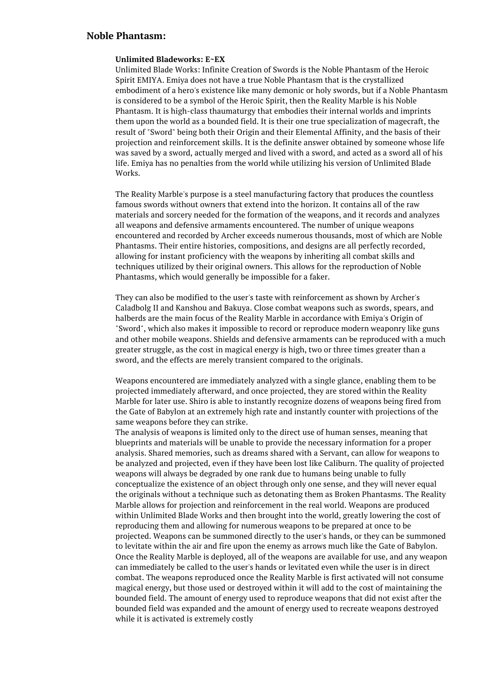#### **Unlimited Bladeworks: E~EX**

Unlimited Blade Works: Infinite Creation of Swords is the Noble Phantasm of the Heroic Spirit EMIYA. Emiya does not have a true Noble Phantasm that is the crystallized embodiment of a hero's existence like many demonic or holy swords, but if a Noble Phantasm is considered to be a symbol of the Heroic Spirit, then the Reality Marble is his Noble Phantasm. It is high-class thaumaturgy that embodies their internal worlds and imprints them upon the world as a bounded field. It is their one true specialization of magecraft, the result of "Sword" being both their Origin and their Elemental Affinity, and the basis of their projection and reinforcement skills. It is the definite answer obtained by someone whose life was saved by a sword, actually merged and lived with a sword, and acted as a sword all of his life. Emiya has no penalties from the world while utilizing his version of Unlimited Blade Works.

The Reality Marble's purpose is a steel manufacturing factory that produces the countless famous swords without owners that extend into the horizon. It contains all of the raw materials and sorcery needed for the formation of the weapons, and it records and analyzes all weapons and defensive armaments encountered. The number of unique weapons encountered and recorded by Archer exceeds numerous thousands, most of which are Noble Phantasms. Their entire histories, compositions, and designs are all perfectly recorded, allowing for instant proficiency with the weapons by inheriting all combat skills and techniques utilized by their original owners. This allows for the reproduction of Noble Phantasms, which would generally be impossible for a faker.

They can also be modified to the user's taste with reinforcement as shown by Archer's Caladbolg II and Kanshou and Bakuya. Close combat weapons such as swords, spears, and halberds are the main focus of the Reality Marble in accordance with Emiya's Origin of "Sword", which also makes it impossible to record or reproduce modern weaponry like guns and other mobile weapons. Shields and defensive armaments can be reproduced with a much greater struggle, as the cost in magical energy is high, two or three times greater than a sword, and the effects are merely transient compared to the originals.

Weapons encountered are immediately analyzed with a single glance, enabling them to be projected immediately afterward, and once projected, they are stored within the Reality Marble for later use. Shiro is able to instantly recognize dozens of weapons being fired from the Gate of Babylon at an extremely high rate and instantly counter with projections of the same weapons before they can strike.

The analysis of weapons is limited only to the direct use of human senses, meaning that blueprints and materials will be unable to provide the necessary information for a proper analysis. Shared memories, such as dreams shared with a Servant, can allow for weapons to be analyzed and projected, even if they have been lost like Caliburn. The quality of projected weapons will always be degraded by one rank due to humans being unable to fully conceptualize the existence of an object through only one sense, and they will never equal the originals without a technique such as detonating them as Broken Phantasms. The Reality Marble allows for projection and reinforcement in the real world. Weapons are produced within Unlimited Blade Works and then brought into the world, greatly lowering the cost of reproducing them and allowing for numerous weapons to be prepared at once to be projected. Weapons can be summoned directly to the user's hands, or they can be summoned to levitate within the air and fire upon the enemy as arrows much like the Gate of Babylon. Once the Reality Marble is deployed, all of the weapons are available for use, and any weapon can immediately be called to the user's hands or levitated even while the user is in direct combat. The weapons reproduced once the Reality Marble is first activated will not consume magical energy, but those used or destroyed within it will add to the cost of maintaining the bounded field. The amount of energy used to reproduce weapons that did not exist after the bounded field was expanded and the amount of energy used to recreate weapons destroyed while it is activated is extremely costly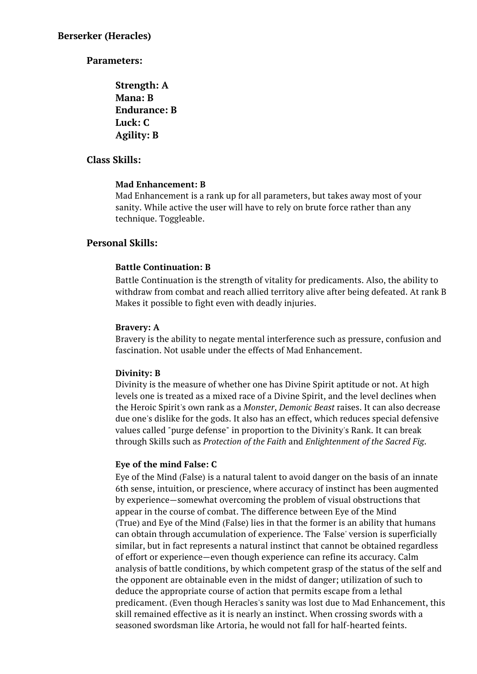**Strength: A Mana: B Endurance: B Luck: C Agility: B**

## **Class Skills:**

### **Mad Enhancement: B**

Mad Enhancement is a rank up for all parameters, but takes away most of your sanity. While active the user will have to rely on brute force rather than any technique. Toggleable.

# **Personal Skills:**

### **Battle Continuation: B**

Battle Continuation is the strength of vitality for predicaments. Also, the ability to withdraw from combat and reach allied territory alive after being defeated. At rank B Makes it possible to fight even with deadly injuries.

### **Bravery: A**

Bravery is the ability to negate mental interference such as pressure, confusion and fascination. Not usable under the effects of Mad Enhancement.

### **Divinity: B**

Divinity is the measure of whether one has Divine Spirit aptitude or not. At high levels one is treated as a mixed race of a Divine Spirit, and the level declines when the Heroic Spirit's own rank as a *Monster*, *Demonic Beast* raises. It can also decrease due one's dislike for the gods. It also has an effect, which reduces special defensive values called "purge defense" in proportion to the Divinity's Rank. It can break through Skills such as *Protection of the Faith* and *Enlightenment of the Sacred Fig*.

### **Eye of the mind False: C**

Eye of the Mind (False) is a natural talent to avoid danger on the basis of an innate 6th sense, intuition, or prescience, where accuracy of instinct has been augmented by experience—somewhat overcoming the problem of visual obstructions that appear in the course of combat. The difference between Eye of the Mind (True) and Eye of the Mind (False) lies in that the former is an ability that humans can obtain through accumulation of experience. The 'False' version is superficially similar, but in fact represents a natural instinct that cannot be obtained regardless of effort or experience—even though experience can refine its accuracy. Calm analysis of battle conditions, by which competent grasp of the status of the self and the opponent are obtainable even in the midst of danger; utilization of such to deduce the appropriate course of action that permits escape from a lethal predicament. (Even though Heracles's sanity was lost due to Mad Enhancement, this skill remained effective as it is nearly an instinct. When crossing swords with a seasoned swordsman like Artoria, he would not fall for half-hearted feints.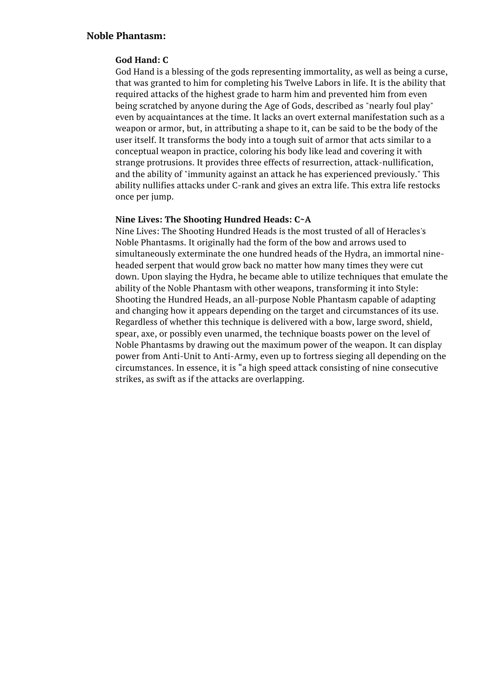### **God Hand: C**

God Hand is a blessing of the gods representing immortality, as well as being a curse, that was granted to him for completing his Twelve Labors in life. It is the ability that required attacks of the highest grade to harm him and prevented him from even being scratched by anyone during the Age of Gods, described as "nearly foul play" even by acquaintances at the time. It lacks an overt external manifestation such as a weapon or armor, but, in attributing a shape to it, can be said to be the body of the user itself. It transforms the body into a tough suit of armor that acts similar to a conceptual weapon in practice, coloring his body like lead and covering it with strange protrusions. It provides three effects of resurrection, attack-nullification, and the ability of "immunity against an attack he has experienced previously." This ability nullifies attacks under C-rank and gives an extra life. This extra life restocks once per jump.

### **Nine Lives: The Shooting Hundred Heads: C~A**

Nine Lives: The Shooting Hundred Heads is the most trusted of all of Heracles's Noble Phantasms. It originally had the form of the bow and arrows used to simultaneously exterminate the one hundred heads of the Hydra, an immortal nineheaded serpent that would grow back no matter how many times they were cut down. Upon slaying the Hydra, he became able to utilize techniques that emulate the ability of the Noble Phantasm with other weapons, transforming it into Style: Shooting the Hundred Heads, an all-purpose Noble Phantasm capable of adapting and changing how it appears depending on the target and circumstances of its use. Regardless of whether this technique is delivered with a bow, large sword, shield, spear, axe, or possibly even unarmed, the technique boasts power on the level of Noble Phantasms by drawing out the maximum power of the weapon. It can display power from Anti-Unit to Anti-Army, even up to fortress sieging all depending on the circumstances. In essence, it is "a high speed attack consisting of nine consecutive strikes, as swift as if the attacks are overlapping.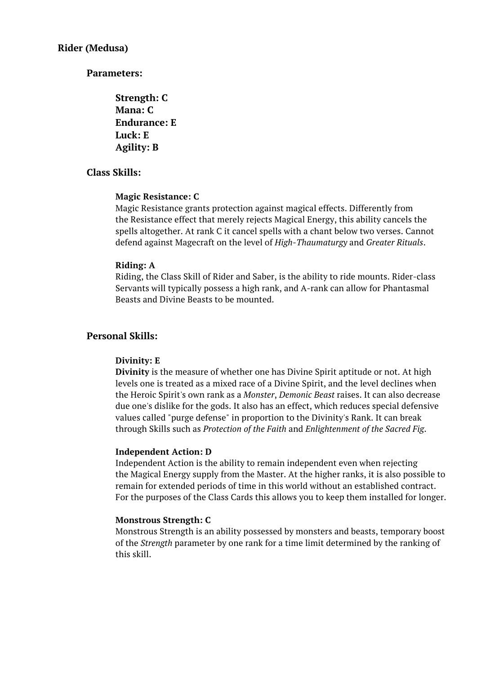**Strength: C Mana: C Endurance: E Luck: E Agility: B**

# **Class Skills:**

### **Magic Resistance: C**

Magic Resistance grants protection against magical effects. Differently from the Resistance effect that merely rejects Magical Energy, this ability cancels the spells altogether. At rank C it cancel spells with a chant below two verses. Cannot defend against Magecraft on the level of *High-Thaumaturgy* and *Greater Rituals*.

#### **Riding: A**

Riding, the Class Skill of Rider and Saber, is the ability to ride mounts. Rider-class Servants will typically possess a high rank, and A-rank can allow for Phantasmal Beasts and Divine Beasts to be mounted.

### **Personal Skills:**

#### **Divinity: E**

**Divinity** is the measure of whether one has Divine Spirit aptitude or not. At high levels one is treated as a mixed race of a Divine Spirit, and the level declines when the Heroic Spirit's own rank as a *Monster*, *Demonic Beast* raises. It can also decrease due one's dislike for the gods. It also has an effect, which reduces special defensive values called "purge defense" in proportion to the Divinity's Rank. It can break through Skills such as *Protection of the Faith* and *Enlightenment of the Sacred Fig*.

#### **Independent Action: D**

Independent Action is the ability to remain independent even when rejecting the Magical Energy supply from the Master. At the higher ranks, it is also possible to remain for extended periods of time in this world without an established contract. For the purposes of the Class Cards this allows you to keep them installed for longer.

#### **Monstrous Strength: C**

Monstrous Strength is an ability possessed by monsters and beasts, temporary boost of the *Strength* parameter by one rank for a time limit determined by the ranking of this skill.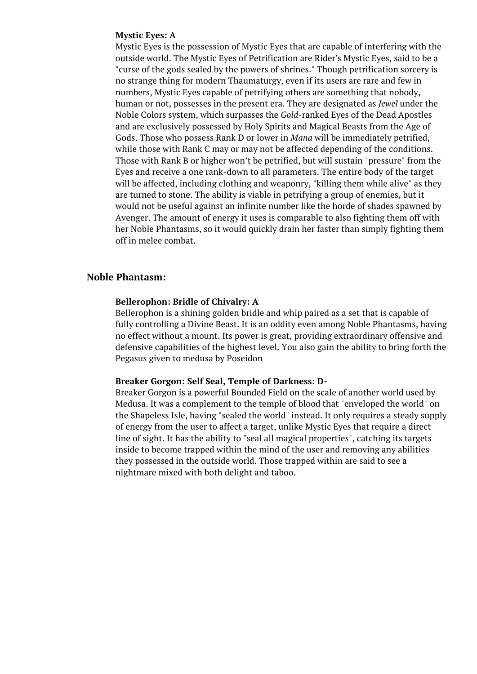#### **Mystic Eyes: A**

Mystic Eyes is the possession of Mystic Eyes that are capable of interfering with the outside world. The Mystic Eyes of Petrification are Rider's Mystic Eyes, said to be a "curse of the gods sealed by the powers of shrines." Though petrification sorcery is no strange thing for modern Thaumaturgy, even if its users are rare and few in numbers, Mystic Eyes capable of petrifying others are something that nobody, human or not, possesses in the present era. They are designated as *Jewel* under the Noble Colors system, which surpasses the *Gold*-ranked Eyes of the Dead Apostles and are exclusively possessed by Holy Spirits and Magical Beasts from the Age of Gods. Those who possess Rank D or lower in *Mana* will be immediately petrified, while those with Rank C may or may not be affected depending of the conditions. Those with Rank B or higher won't be petrified, but will sustain "pressure" from the Eyes and receive a one rank-down to all parameters. The entire body of the target will be affected, including clothing and weaponry, "killing them while alive" as they are turned to stone. The ability is viable in petrifying a group of enemies, but it would not be useful against an infinite number like the horde of shades spawned by Avenger. The amount of energy it uses is comparable to also fighting them off with her Noble Phantasms, so it would quickly drain her faster than simply fighting them off in melee combat.

### **Noble Phantasm:**

### **Bellerophon: Bridle of Chivalry: A**

Bellerophon is a shining golden bridle and whip paired as a set that is capable of fully controlling a Divine Beast. It is an oddity even among Noble Phantasms, having no effect without a mount. Its power is great, providing extraordinary offensive and defensive capabilities of the highest level. You also gain the ability to bring forth the Pegasus given to medusa by Poseidon

### **Breaker Gorgon: Self Seal, Temple of Darkness: D-**

Breaker Gorgon is a powerful Bounded Field on the scale of another world used by Medusa. It was a complement to the temple of blood that "enveloped the world" on the Shapeless Isle, having "sealed the world" instead. It only requires a steady supply of energy from the user to affect a target, unlike Mystic Eyes that require a direct line of sight. It has the ability to "seal all magical properties", catching its targets inside to become trapped within the mind of the user and removing any abilities they possessed in the outside world. Those trapped within are said to see a nightmare mixed with both delight and taboo.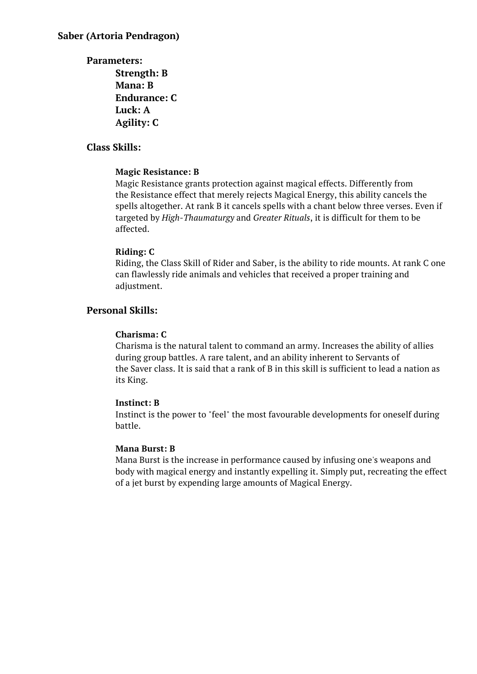**Parameters: Strength: B Mana: B Endurance: C Luck: A Agility: C**

# **Class Skills:**

### **Magic Resistance: B**

Magic Resistance grants protection against magical effects. Differently from the Resistance effect that merely rejects Magical Energy, this ability cancels the spells altogether. At rank B it cancels spells with a chant below three verses. Even if targeted by *High-Thaumaturgy* and *Greater Rituals*, it is difficult for them to be affected.

### **Riding: C**

Riding, the Class Skill of Rider and Saber, is the ability to ride mounts. At rank C one can flawlessly ride animals and vehicles that received a proper training and adjustment.

### **Personal Skills:**

#### **Charisma: C**

Charisma is the natural talent to command an army. Increases the ability of allies during group battles. A rare talent, and an ability inherent to Servants of the Saver class. It is said that a rank of B in this skill is sufficient to lead a nation as its King.

#### **Instinct: B**

Instinct is the power to "feel" the most favourable developments for oneself during battle.

#### **Mana Burst: B**

Mana Burst is the increase in performance caused by infusing one's weapons and body with magical energy and instantly expelling it. Simply put, recreating the effect of a jet burst by expending large amounts of Magical Energy.